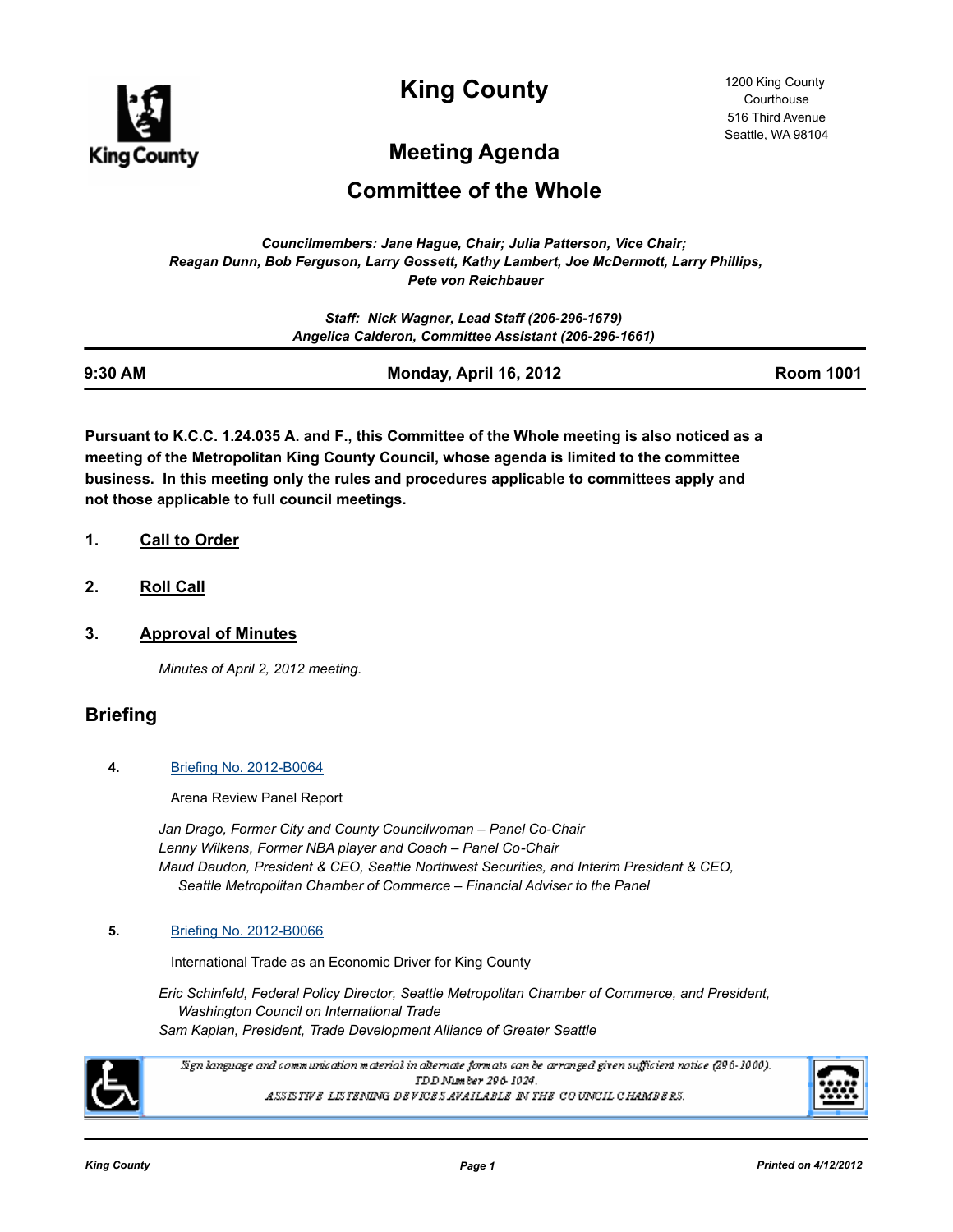

**King County**

# **Meeting Agenda**

## **Committee of the Whole**

*Councilmembers: Jane Hague, Chair; Julia Patterson, Vice Chair; Reagan Dunn, Bob Ferguson, Larry Gossett, Kathy Lambert, Joe McDermott, Larry Phillips, Pete von Reichbauer*

|         | Staff: Nick Wagner, Lead Staff (206-296-1679)<br>Angelica Calderon, Committee Assistant (206-296-1661) |                  |
|---------|--------------------------------------------------------------------------------------------------------|------------------|
| 9:30 AM | Monday, April 16, 2012                                                                                 | <b>Room 1001</b> |

**Pursuant to K.C.C. 1.24.035 A. and F., this Committee of the Whole meeting is also noticed as a meeting of the Metropolitan King County Council, whose agenda is limited to the committee business. In this meeting only the rules and procedures applicable to committees apply and not those applicable to full council meetings.**

- **1. Call to Order**
- **2. Roll Call**
- **3. Approval of Minutes**

*Minutes of April 2, 2012 meeting.*

### **Briefing**

#### **4.** [Briefing No. 2012-B0064](http://kingcounty.legistar.com/gateway.aspx?m=l&id=/matter.aspx?key=12847)

Arena Review Panel Report

*Jan Drago, Former City and County Councilwoman – Panel Co-Chair Lenny Wilkens, Former NBA player and Coach – Panel Co-Chair Maud Daudon, President & CEO, Seattle Northwest Securities, and Interim President & CEO, Seattle Metropolitan Chamber of Commerce – Financial Adviser to the Panel*

#### **5.** [Briefing No. 2012-B0066](http://kingcounty.legistar.com/gateway.aspx?m=l&id=/matter.aspx?key=12853)

International Trade as an Economic Driver for King County

*Eric Schinfeld, Federal Policy Director, Seattle Metropolitan Chamber of Commerce, and President, Washington Council on International Trade Sam Kaplan, President, Trade Development Alliance of Greater Seattle*



.<br>Sign language and communication material in alternate formats can be arranged given sufficient notice (296-1000). TDD Number 296-1024. ASSISTIVE LISTENING DEVICES AVAILABLE IN THE COUNCIL CHAMBERS.